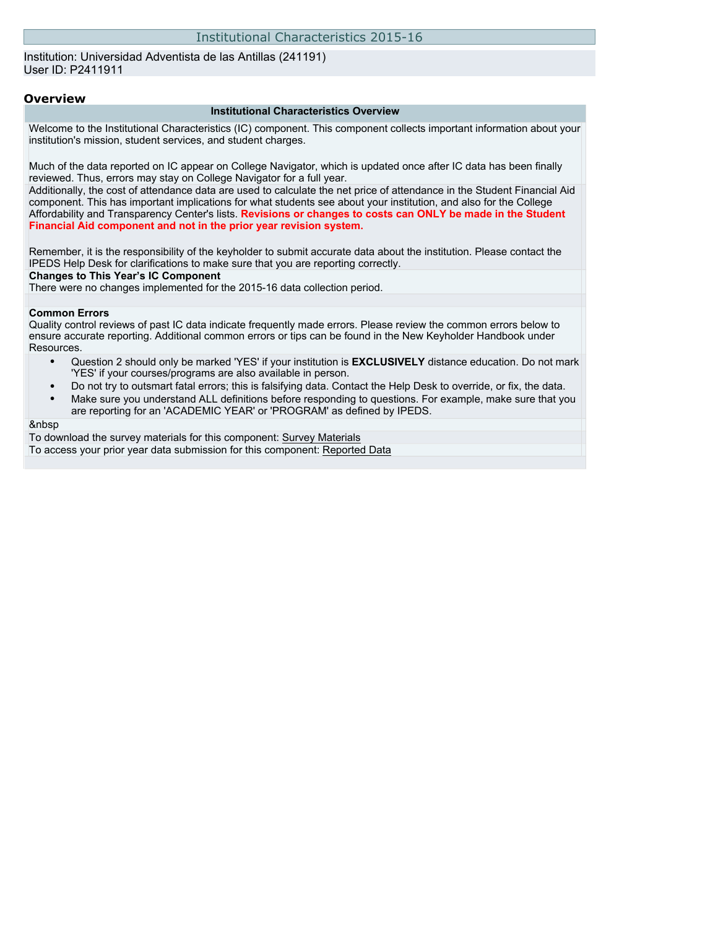### Institutional Characteristics 2015-16

Institution: Universidad Adventista de las Antillas (241191) User ID: P2411911

#### **Overview**

#### **Institutional Characteristics Overview**

Welcome to the Institutional Characteristics (IC) component. This component collects important information about your institution's mission, student services, and student charges.

Much of the data reported on IC appear on College Navigator, which is updated once after IC data has been finally reviewed. Thus, errors may stay on College Navigator for a full year.

Additionally, the cost of attendance data are used to calculate the net price of attendance in the Student Financial Aid component. This has important implications for what students see about your institution, and also for the College Affordability and Transparency Center's lists. **Revisions or changes to costs can ONLY be made in the Student Financial Aid component and not in the prior year revision system.**

Remember, it is the responsibility of the keyholder to submit accurate data about the institution. Please contact the IPEDS Help Desk for clarifications to make sure that you are reporting correctly.

#### **Changes to This Year's IC Component**

There were no changes implemented for the 2015-16 data collection period.

#### **Common Errors**

Quality control reviews of past IC data indicate frequently made errors. Please review the common errors below to ensure accurate reporting. Additional common errors or tips can be found in the New Keyholder Handbook under Resources.

- Question 2 should only be marked 'YES' if your institution is **EXCLUSIVELY** distance education. Do not mark 'YES' if your courses/programs are also available in person.
- Do not try to outsmart fatal errors; this is falsifying data. Contact the Help Desk to override, or fix, the data.
- Make sure you understand ALL definitions before responding to questions. For example, make sure that you are reporting for an 'ACADEMIC YEAR' or 'PROGRAM' as defined by IPEDS.

### &nbsp

To download the survey materials for this component: [Survey Materials](https://surveys.nces.ed.gov/ipeds/VisIndex.aspx) To access your prior year data submission for this component: [Reported Data](http://192.168.102.153/IPEDS/PriorYearDataRedirect.aspx?survey_id=11)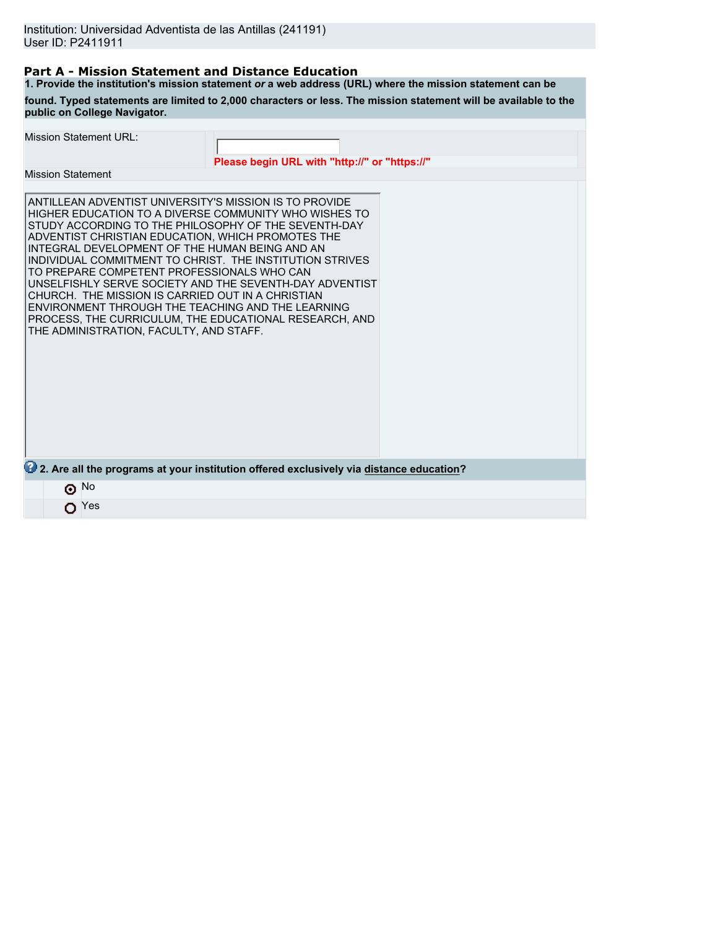### **Part A - Mission Statement and Distance Education**

**1. Provide the institution's mission statement** *or* **a web address (URL) where the mission statement can be found. Typed statements are limited to 2,000 characters or less. The mission statement will be available to the public on College Navigator.**

| <b>Mission Statement URL:</b>                                                                                                                                                                                                                                                                                                                                                                                                                                                                                                                                                                                                                                      | Please begin URL with "http://" or "https://" |  |
|--------------------------------------------------------------------------------------------------------------------------------------------------------------------------------------------------------------------------------------------------------------------------------------------------------------------------------------------------------------------------------------------------------------------------------------------------------------------------------------------------------------------------------------------------------------------------------------------------------------------------------------------------------------------|-----------------------------------------------|--|
| <b>Mission Statement</b>                                                                                                                                                                                                                                                                                                                                                                                                                                                                                                                                                                                                                                           |                                               |  |
| ANTILLEAN ADVENTIST UNIVERSITY'S MISSION IS TO PROVIDE<br>HIGHER EDUCATION TO A DIVERSE COMMUNITY WHO WISHES TO<br>STUDY ACCORDING TO THE PHILOSOPHY OF THE SEVENTH-DAY<br>ADVENTIST CHRISTIAN EDUCATION, WHICH PROMOTES THE<br>INTEGRAL DEVELOPMENT OF THE HUMAN BEING AND AN<br>INDIVIDUAL COMMITMENT TO CHRIST. THE INSTITUTION STRIVES<br>TO PREPARE COMPETENT PROFESSIONALS WHO CAN<br>UNSELFISHLY SERVE SOCIETY AND THE SEVENTH-DAY ADVENTIST<br>CHURCH. THE MISSION IS CARRIED OUT IN A CHRISTIAN<br>ENVIRONMENT THROUGH THE TEACHING AND THE LEARNING<br>PROCESS, THE CURRICULUM, THE EDUCATIONAL RESEARCH, AND<br>THE ADMINISTRATION, FACULTY, AND STAFF. |                                               |  |
| 2. Are all the programs at your institution offered exclusively via distance education?                                                                                                                                                                                                                                                                                                                                                                                                                                                                                                                                                                            |                                               |  |
| $\odot$ No                                                                                                                                                                                                                                                                                                                                                                                                                                                                                                                                                                                                                                                         |                                               |  |
| Yes                                                                                                                                                                                                                                                                                                                                                                                                                                                                                                                                                                                                                                                                |                                               |  |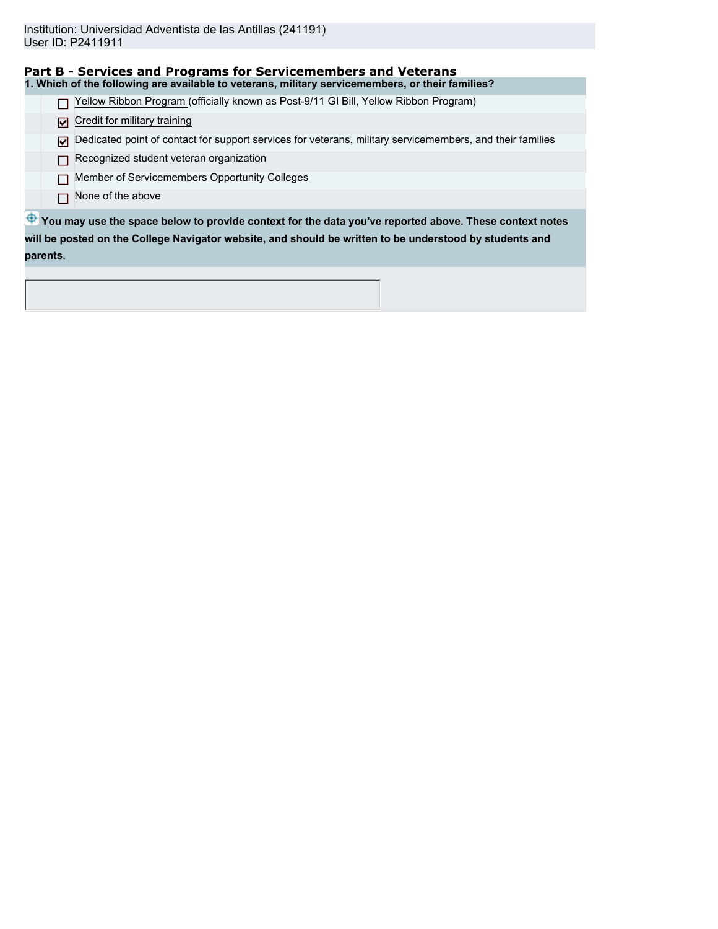| Part B - Services and Programs for Servicemembers and Veterans                                                 |
|----------------------------------------------------------------------------------------------------------------|
| 1. Which of the following are available to veterans, military servicemembers, or their families?               |
| Yellow Ribbon Program (officially known as Post-9/11 GI Bill, Yellow Ribbon Program)                           |
| Credit for military training<br>М                                                                              |
| Dedicated point of contact for support services for veterans, military servicemembers, and their families<br>⊡ |
| Recognized student veteran organization                                                                        |
| Member of Servicemembers Opportunity Colleges                                                                  |
| None of the above                                                                                              |
| The You may use the space below to provide context for the data you've reported above. These context notes     |
| will be posted on the College Navigator website, and should be written to be understood by students and        |
| parents.                                                                                                       |
|                                                                                                                |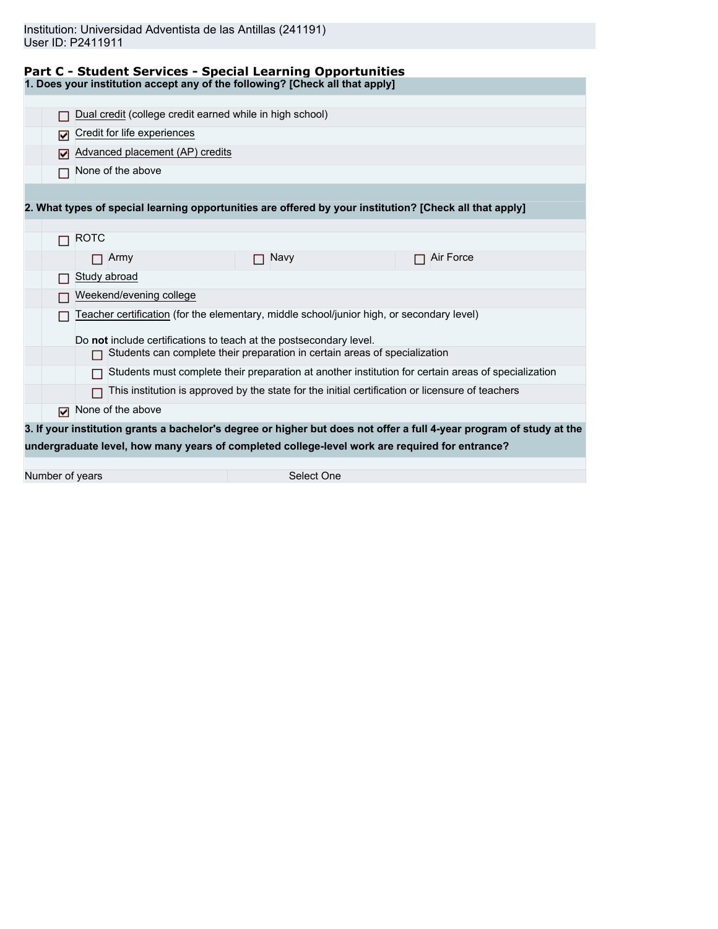| Institution: Universidad Adventista de las Antillas (241191) |  |  |  |
|--------------------------------------------------------------|--|--|--|
| User ID: P2411911                                            |  |  |  |

|                 | <b>Part C - Student Services - Special Learning Opportunities</b>                                       |                                                                                                  |                                                                                                                      |
|-----------------|---------------------------------------------------------------------------------------------------------|--------------------------------------------------------------------------------------------------|----------------------------------------------------------------------------------------------------------------------|
|                 | 1. Does your institution accept any of the following? [Check all that apply]                            |                                                                                                  |                                                                                                                      |
|                 |                                                                                                         |                                                                                                  |                                                                                                                      |
|                 | Dual credit (college credit earned while in high school)                                                |                                                                                                  |                                                                                                                      |
| ⊡               | Credit for life experiences                                                                             |                                                                                                  |                                                                                                                      |
|                 | Advanced placement (AP) credits                                                                         |                                                                                                  |                                                                                                                      |
|                 | None of the above                                                                                       |                                                                                                  |                                                                                                                      |
|                 |                                                                                                         |                                                                                                  |                                                                                                                      |
|                 | 2. What types of special learning opportunities are offered by your institution? [Check all that apply] |                                                                                                  |                                                                                                                      |
|                 |                                                                                                         |                                                                                                  |                                                                                                                      |
|                 | <b>ROTC</b>                                                                                             |                                                                                                  |                                                                                                                      |
|                 | Army                                                                                                    | <b>Navy</b>                                                                                      | Air Force                                                                                                            |
|                 | Study abroad                                                                                            |                                                                                                  |                                                                                                                      |
|                 | Weekend/evening college                                                                                 |                                                                                                  |                                                                                                                      |
|                 | Teacher certification (for the elementary, middle school/junior high, or secondary level)               |                                                                                                  |                                                                                                                      |
|                 | Do not include certifications to teach at the postsecondary level.                                      |                                                                                                  |                                                                                                                      |
|                 |                                                                                                         | Students can complete their preparation in certain areas of specialization                       |                                                                                                                      |
|                 |                                                                                                         |                                                                                                  | Students must complete their preparation at another institution for certain areas of specialization                  |
|                 |                                                                                                         | This institution is approved by the state for the initial certification or licensure of teachers |                                                                                                                      |
| М               | None of the above                                                                                       |                                                                                                  |                                                                                                                      |
|                 |                                                                                                         |                                                                                                  | 3. If your institution grants a bachelor's degree or higher but does not offer a full 4-year program of study at the |
|                 | undergraduate level, how many years of completed college-level work are required for entrance?          |                                                                                                  |                                                                                                                      |
|                 |                                                                                                         |                                                                                                  |                                                                                                                      |
| Number of years |                                                                                                         | Select One                                                                                       |                                                                                                                      |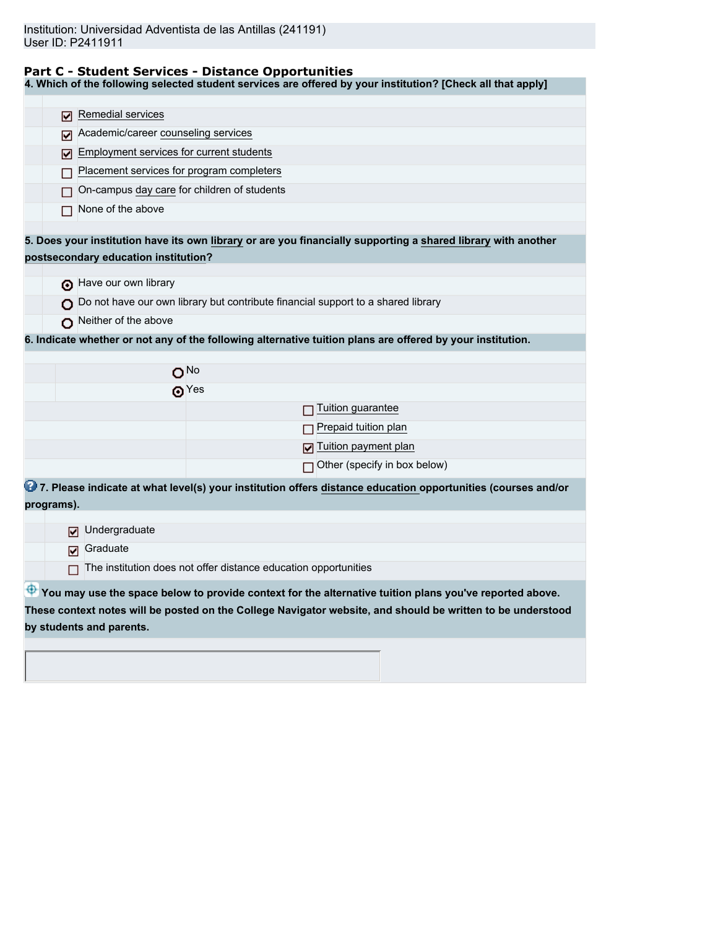## **Part C - Student Services - Distance Opportunities**

**4. Which of the following selected student services are offered by your institution? [Check all that apply]**

| Remedial services<br>M                                                                                        |                                                                                                             |
|---------------------------------------------------------------------------------------------------------------|-------------------------------------------------------------------------------------------------------------|
| Academic/career counseling services<br>M                                                                      |                                                                                                             |
| Employment services for current students                                                                      |                                                                                                             |
| ⊽<br>Placement services for program completers                                                                |                                                                                                             |
|                                                                                                               |                                                                                                             |
| On-campus day care for children of students                                                                   |                                                                                                             |
| None of the above                                                                                             |                                                                                                             |
| 5. Does your institution have its own library or are you financially supporting a shared library with another |                                                                                                             |
| postsecondary education institution?                                                                          |                                                                                                             |
|                                                                                                               |                                                                                                             |
| have our own library                                                                                          |                                                                                                             |
| Do not have our own library but contribute financial support to a shared library                              |                                                                                                             |
| Neither of the above                                                                                          |                                                                                                             |
| 6. Indicate whether or not any of the following alternative tuition plans are offered by your institution.    |                                                                                                             |
|                                                                                                               |                                                                                                             |
| O <sub>No</sub>                                                                                               |                                                                                                             |
| ക $Yes$                                                                                                       |                                                                                                             |
|                                                                                                               | Tuition guarantee                                                                                           |
|                                                                                                               | Prepaid tuition plan                                                                                        |
|                                                                                                               | Tuition payment plan                                                                                        |
|                                                                                                               | Other (specify in box below)                                                                                |
| 27. Please indicate at what level(s) your institution offers distance education opportunities (courses and/or |                                                                                                             |
| programs).                                                                                                    |                                                                                                             |
| Undergraduate<br>☑                                                                                            |                                                                                                             |
| Graduate                                                                                                      |                                                                                                             |
| ☑                                                                                                             |                                                                                                             |
| The institution does not offer distance education opportunities                                               |                                                                                                             |
| You may use the space below to provide context for the alternative tuition plans you've reported above.       |                                                                                                             |
|                                                                                                               | These context notes will be posted on the College Navigator website, and should be written to be understood |
| by students and parents.                                                                                      |                                                                                                             |
|                                                                                                               |                                                                                                             |
|                                                                                                               |                                                                                                             |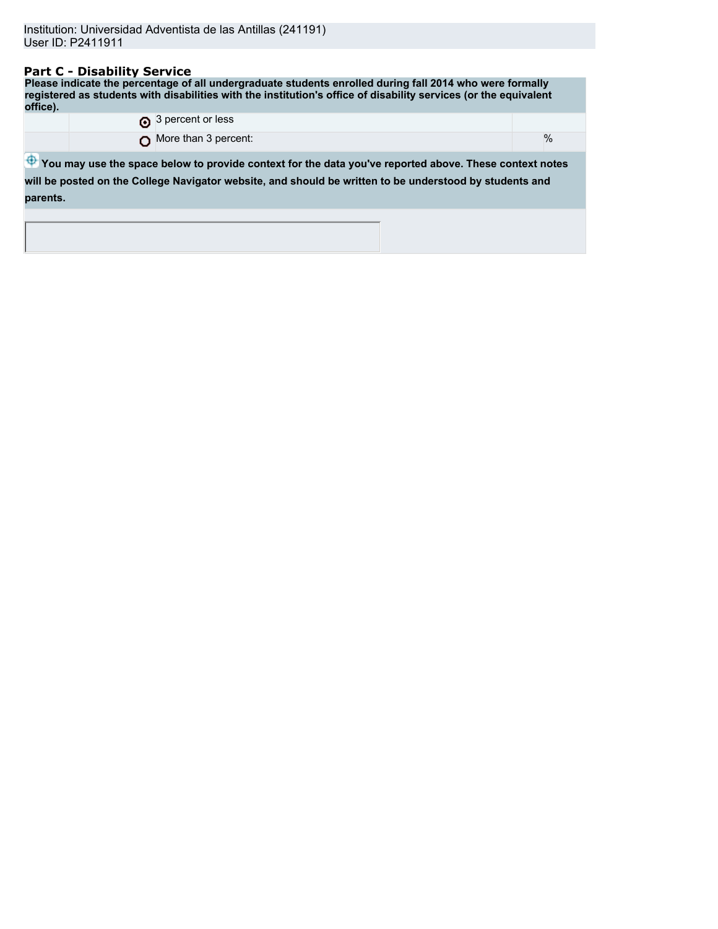## **Part C - Disability Service**

**Please indicate the percentage of all undergraduate students enrolled during fall 2014 who were formally registered as students with disabilities with the institution's office of disability services (or the equivalent office).** 3 percent or less

| $\bigcap$ More than 3 percent: |  |  | $\frac{0}{0}$ |
|--------------------------------|--|--|---------------|
|--------------------------------|--|--|---------------|

 $\bigoplus$  **You may use the space below to provide context for the data you've reported above. These context notes will be posted on the College Navigator website, and should be written to be understood by students and parents.**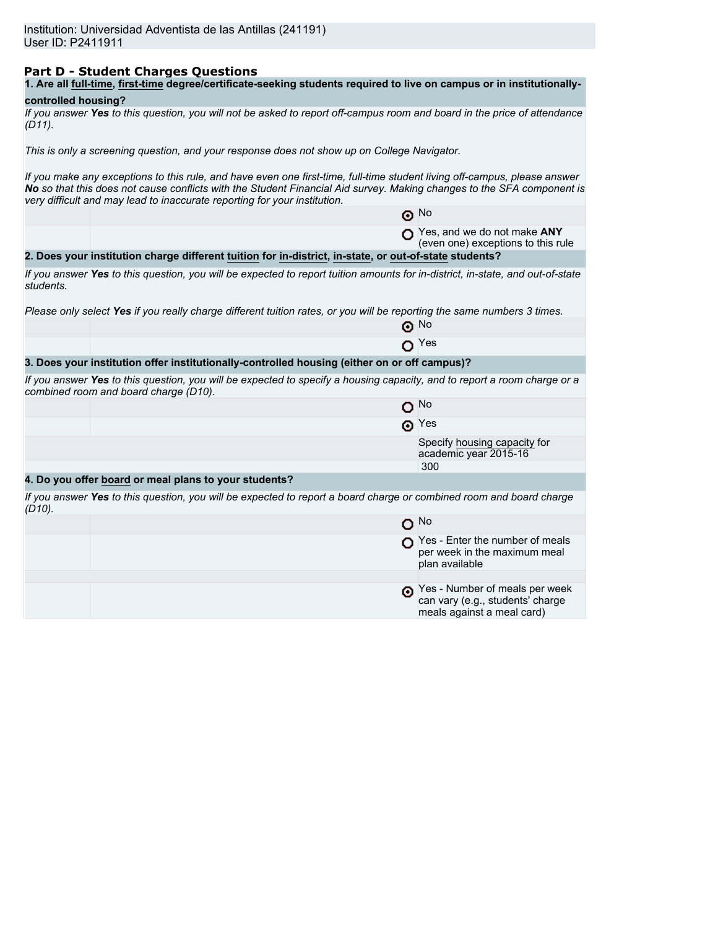## **Part D - Student Charges Questions**

| 1. Are all full-time, first-time degree/certificate-seeking students required to live on campus or in institutionally- |  |
|------------------------------------------------------------------------------------------------------------------------|--|
|------------------------------------------------------------------------------------------------------------------------|--|

# **controlled housing?**

*If you answer Yes to this question, you will not be asked to report off-campus room and board in the price of attendance (D11).*

*This is only a screening question, and your response does not show up on College Navigator.*

*If you make any exceptions to this rule, and have even one first-time, full-time student living off-campus, please answer No so that this does not cause conflicts with the Student Financial Aid survey. Making changes to the SFA component is very difficult and may lead to inaccurate reporting for your institution.*

|           |                                                                                                                                                                   | $\odot$ No                                                                        |
|-----------|-------------------------------------------------------------------------------------------------------------------------------------------------------------------|-----------------------------------------------------------------------------------|
|           |                                                                                                                                                                   | Yes, and we do not make ANY<br>(even one) exceptions to this rule                 |
|           | 2. Does your institution charge different tuition for in-district, in-state, or out-of-state students?                                                            |                                                                                   |
| students. | If you answer Yes to this question, you will be expected to report tuition amounts for in-district, in-state, and out-of-state                                    |                                                                                   |
|           | Please only select Yes if you really charge different tuition rates, or you will be reporting the same numbers 3 times.                                           |                                                                                   |
|           |                                                                                                                                                                   | $\odot$ No                                                                        |
|           |                                                                                                                                                                   | Yes                                                                               |
|           | 3. Does your institution offer institutionally-controlled housing (either on or off campus)?                                                                      |                                                                                   |
|           | If you answer Yes to this question, you will be expected to specify a housing capacity, and to report a room charge or a<br>combined room and board charge (D10). |                                                                                   |
|           |                                                                                                                                                                   | $O$ No                                                                            |
|           |                                                                                                                                                                   | $\odot$ Yes                                                                       |
|           |                                                                                                                                                                   | Specify housing capacity for<br>academic year 2015-16                             |
|           |                                                                                                                                                                   | 300                                                                               |
|           | 4. Do you offer board or meal plans to your students?                                                                                                             |                                                                                   |
| $(D10)$ . | If you answer Yes to this question, you will be expected to report a board charge or combined room and board charge                                               |                                                                                   |
|           |                                                                                                                                                                   | $O$ No                                                                            |
|           |                                                                                                                                                                   | Yes - Enter the number of meals<br>per week in the maximum meal<br>plan available |
|           |                                                                                                                                                                   |                                                                                   |
|           |                                                                                                                                                                   | Yes - Number of meals per week                                                    |

can vary (e.g., students' charge meals against a meal card)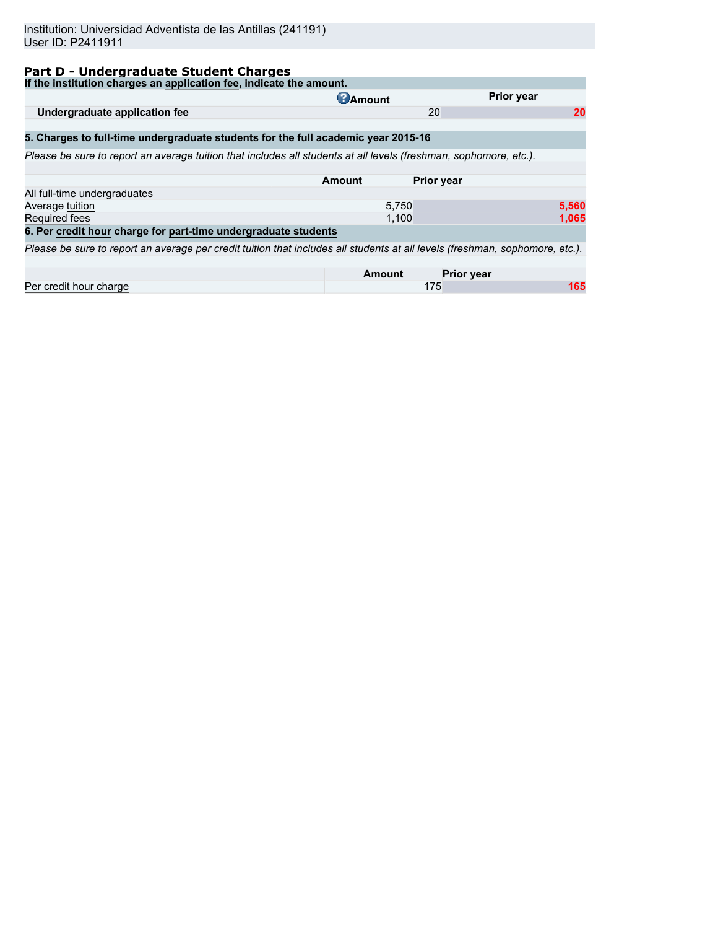# **Part D - Undergraduate Student Charges**

| If the institution charges an application fee, indicate the amount.                                                          |                 |                   |
|------------------------------------------------------------------------------------------------------------------------------|-----------------|-------------------|
|                                                                                                                              | <b>C</b> Amount | <b>Prior year</b> |
| Undergraduate application fee                                                                                                | 20              | 20                |
|                                                                                                                              |                 |                   |
| 5. Charges to full-time undergraduate students for the full academic year 2015-16                                            |                 |                   |
| Please be sure to report an average tuition that includes all students at all levels (freshman, sophomore, etc.).            |                 |                   |
|                                                                                                                              |                 |                   |
|                                                                                                                              | Amount          | <b>Prior year</b> |
| All full-time undergraduates                                                                                                 |                 |                   |
| Average tuition                                                                                                              | 5,750           | 5,560             |
| Required fees                                                                                                                | 1,100           | 1,065             |
| 6. Per credit hour charge for part-time undergraduate students                                                               |                 |                   |
| Please be sure to report an average per credit tuition that includes all students at all levels (freshman, sophomore, etc.). |                 |                   |
|                                                                                                                              |                 |                   |
|                                                                                                                              | Amount          | <b>Prior year</b> |
| Per credit hour charge                                                                                                       | 175             | 165               |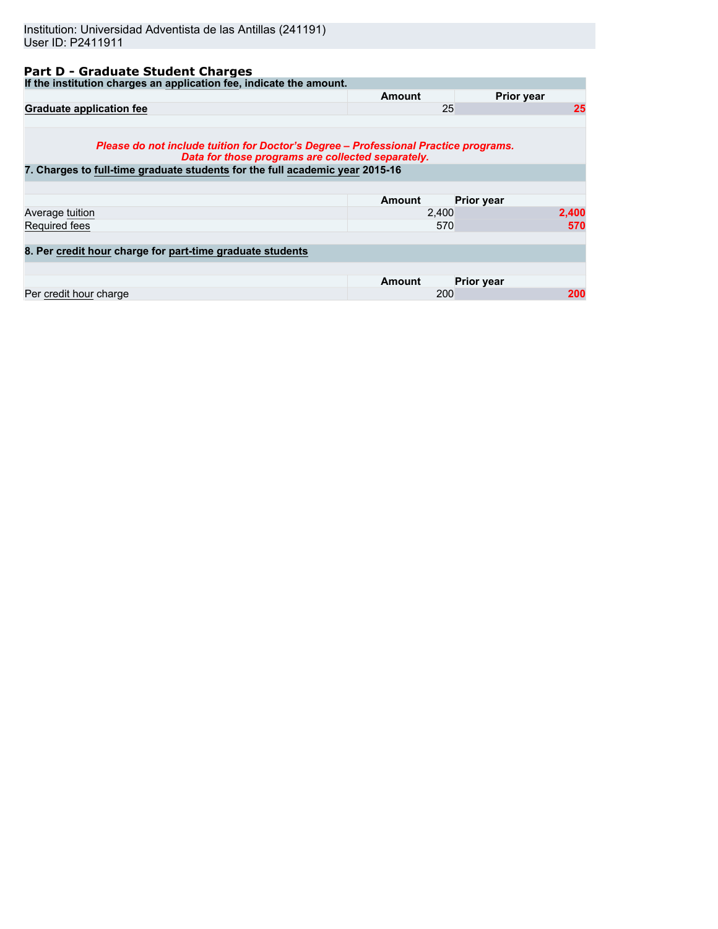# **Part D - Graduate Student Charges**

| If the institution charges an application fee, indicate the amount.                                                                      |               |                   |
|------------------------------------------------------------------------------------------------------------------------------------------|---------------|-------------------|
|                                                                                                                                          | Amount        | Prior year        |
| <b>Graduate application fee</b>                                                                                                          | 25            | 25                |
|                                                                                                                                          |               |                   |
| Please do not include tuition for Doctor's Degree – Professional Practice programs.<br>Data for those programs are collected separately. |               |                   |
| 7. Charges to full-time graduate students for the full academic year 2015-16                                                             |               |                   |
|                                                                                                                                          |               |                   |
|                                                                                                                                          | <b>Amount</b> | <b>Prior year</b> |
| Average tuition                                                                                                                          | 2,400         | 2,400             |
| Required fees                                                                                                                            | 570           | 570               |
|                                                                                                                                          |               |                   |
| 8. Per credit hour charge for part-time graduate students                                                                                |               |                   |
|                                                                                                                                          |               |                   |
|                                                                                                                                          | <b>Amount</b> | <b>Prior year</b> |
| Per credit hour charge                                                                                                                   | 200           | 200               |
|                                                                                                                                          |               |                   |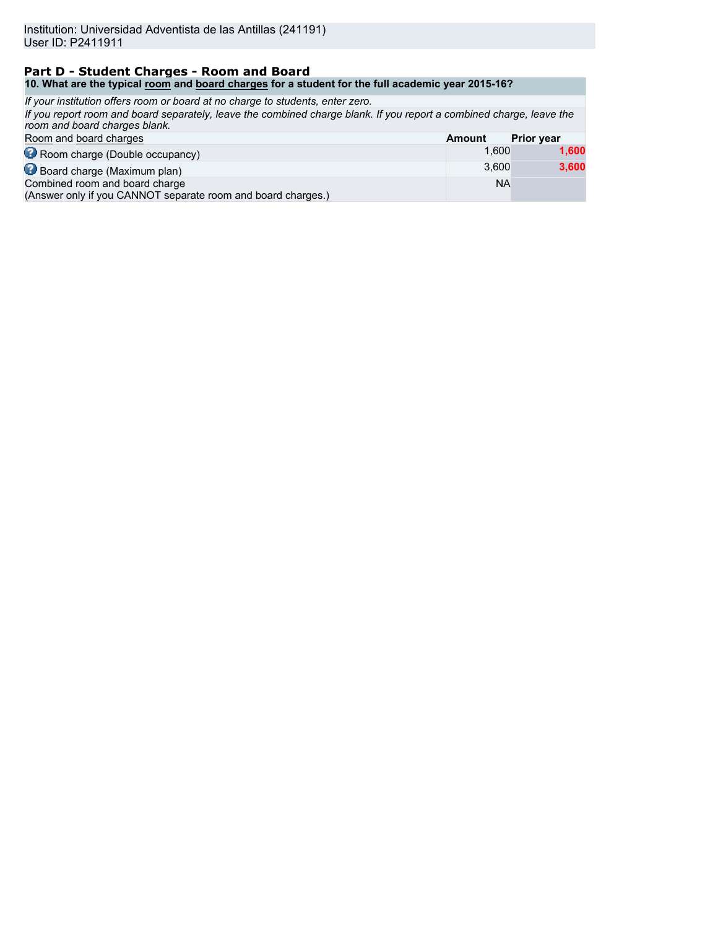### **Part D - Student Charges - Room and Board 10. What are the typical room and board charges for a student for the full academic year 2015-16?**

| If your institution offers room or board at no charge to students, enter zero.                                                                        |               |                   |
|-------------------------------------------------------------------------------------------------------------------------------------------------------|---------------|-------------------|
| If you report room and board separately, leave the combined charge blank. If you report a combined charge, leave the<br>room and board charges blank. |               |                   |
| Room and board charges                                                                                                                                | <b>Amount</b> | <b>Prior year</b> |
| Room charge (Double occupancy)                                                                                                                        | 1.600         | 1,600             |
| Board charge (Maximum plan)                                                                                                                           | 3.600         | 3,600             |
| Combined room and board charge<br>(Answer only if you CANNOT separate room and board charges.)                                                        | <b>NA</b>     |                   |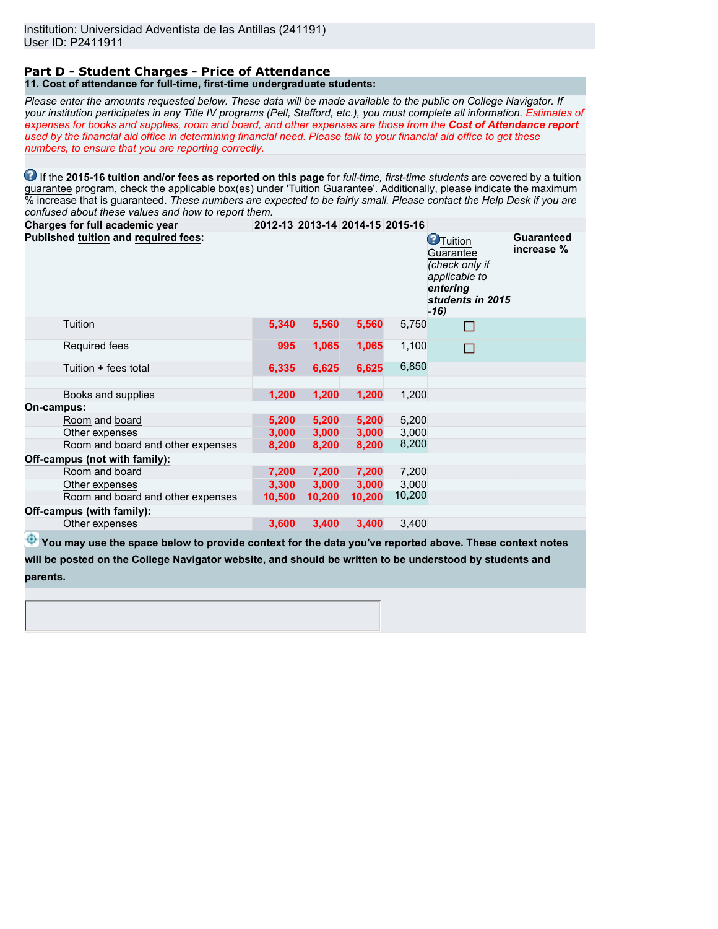#### **Part D - Student Charges - Price of Attendance 11. Cost of attendance for full-time, first-time undergraduate students:**

*Please enter the amounts requested below. These data will be made available to the public on College Navigator. If your institution participates in any Title IV programs (Pell, Stafford, etc.), you must complete all information. Estimates of expenses for books and supplies, room and board, and other expenses are those from the Cost of Attendance report used by the financial aid office in determining financial need. Please talk to your financial aid office to get these numbers, to ensure that you are reporting correctly.*

**1** If the 2015-16 tuition and/or fees as reported on this page for *full-time, first-time students* are covered by a tuition guarantee program, check the applicable box(es) under 'Tuition Guarantee'. Additionally, please indicate the maximum % increase that is guaranteed. *These numbers are expected to be fairly small. Please contact the Help Desk if you are confused about these values and how to report them.*

| Charges for full academic year       |        |        | 2012-13 2013-14 2014-15 2015-16 |        |                                                                                                            |                          |
|--------------------------------------|--------|--------|---------------------------------|--------|------------------------------------------------------------------------------------------------------------|--------------------------|
| Published tuition and required fees: |        |        |                                 |        | <b>O</b> Tuition<br>Guarantee<br>(check only if<br>applicable to<br>entering<br>students in 2015<br>$-16)$ | Guaranteed<br>increase % |
| Tuition                              | 5,340  | 5,560  | 5,560                           | 5,750  | □                                                                                                          |                          |
| Required fees                        | 995    | 1,065  | 1,065                           | 1,100  | П                                                                                                          |                          |
| Tuition + fees total                 | 6,335  | 6,625  | 6,625                           | 6,850  |                                                                                                            |                          |
|                                      |        |        |                                 |        |                                                                                                            |                          |
| Books and supplies                   | 1,200  | 1,200  | 1,200                           | 1,200  |                                                                                                            |                          |
| On-campus:                           |        |        |                                 |        |                                                                                                            |                          |
| Room and board                       | 5,200  | 5,200  | 5,200                           | 5,200  |                                                                                                            |                          |
| Other expenses                       | 3,000  | 3,000  | 3,000                           | 3,000  |                                                                                                            |                          |
| Room and board and other expenses    | 8,200  | 8,200  | 8,200                           | 8,200  |                                                                                                            |                          |
| Off-campus (not with family):        |        |        |                                 |        |                                                                                                            |                          |
| Room and board                       | 7,200  | 7,200  | 7,200                           | 7,200  |                                                                                                            |                          |
| Other expenses                       | 3,300  | 3,000  | 3,000                           | 3,000  |                                                                                                            |                          |
| Room and board and other expenses    | 10,500 | 10,200 | 10,200                          | 10,200 |                                                                                                            |                          |
| Off-campus (with family):            |        |        |                                 |        |                                                                                                            |                          |
| Other expenses                       | 3,600  | 3,400  | 3,400                           | 3,400  |                                                                                                            |                          |
|                                      |        |        |                                 |        |                                                                                                            |                          |

**<sup>4</sup>** You may use the space below to provide context for the data you've reported above. These context notes **will be posted on the College Navigator website, and should be written to be understood by students and parents.**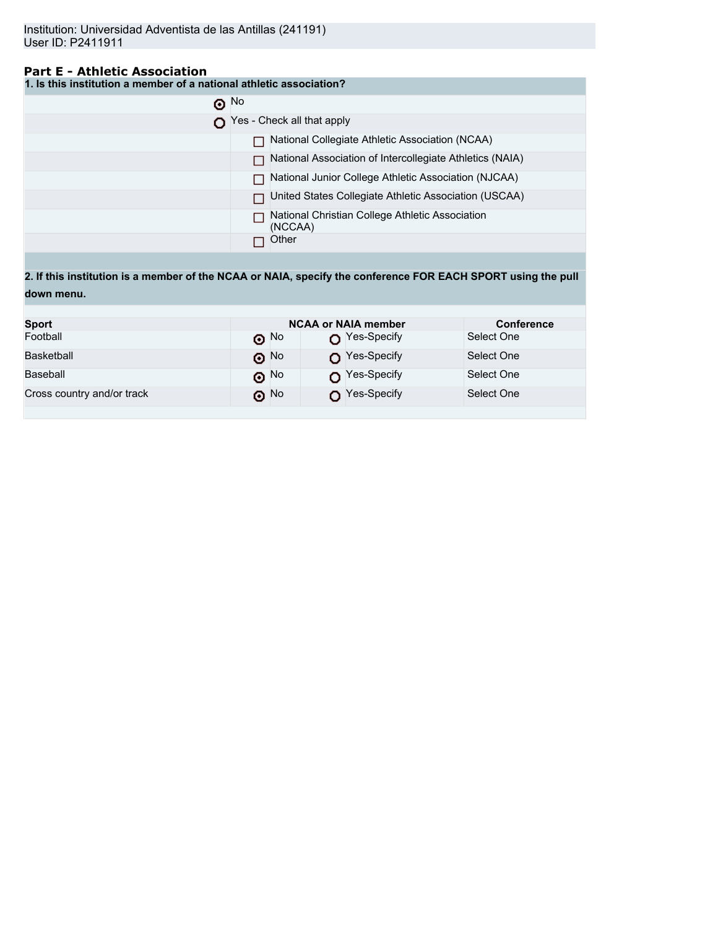# **Part E - Athletic Association**

**1. Is this institution a member of a national athletic association?**

| $\odot$ No                                                 |
|------------------------------------------------------------|
| Yes - Check all that apply                                 |
| National Collegiate Athletic Association (NCAA)            |
| National Association of Intercollegiate Athletics (NAIA)   |
| National Junior College Athletic Association (NJCAA)       |
| United States Collegiate Athletic Association (USCAA)      |
| National Christian College Athletic Association<br>(NCCAA) |
| Other                                                      |

**2. If this institution is a member of the NCAA or NAIA, specify the conference FOR EACH SPORT using the pull down menu.**

| <b>Sport</b>               |                          | <b>NCAA or NAIA member</b> |            |  |
|----------------------------|--------------------------|----------------------------|------------|--|
| Football                   | $\odot$ No               | $\bigcap$ Yes-Specify      | Select One |  |
| Basketball                 | $\boldsymbol{\Theta}$ No | Yes-Specify                | Select One |  |
| Baseball                   | $\odot$ No               | $\bigcap$ Yes-Specify      | Select One |  |
| Cross country and/or track | ெ No                     | Yes-Specify                | Select One |  |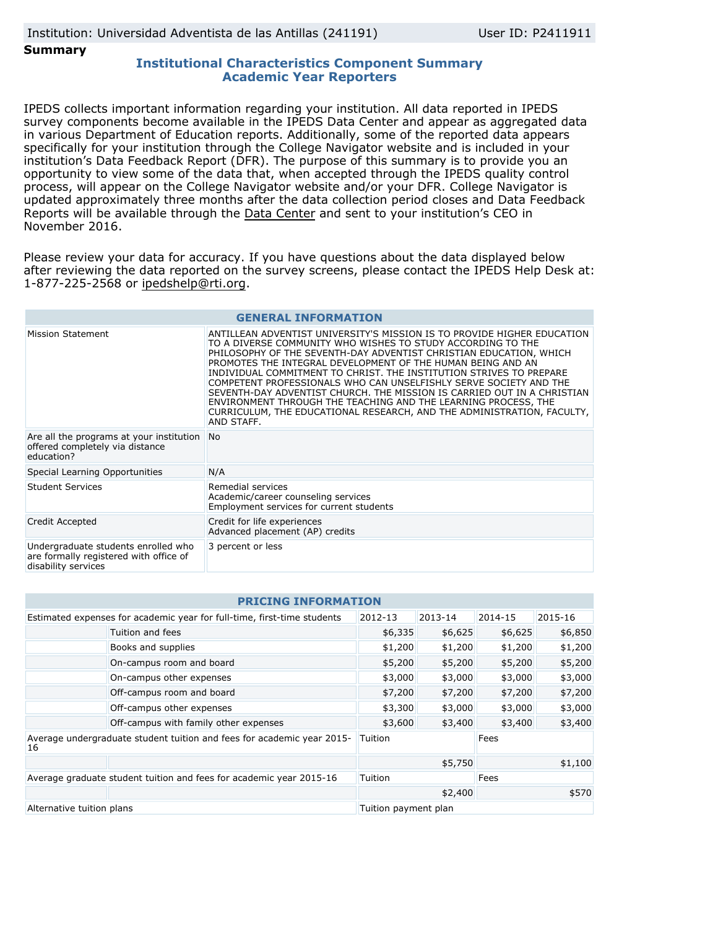### **Summary**

## **Institutional Characteristics Component Summary Academic Year Reporters**

IPEDS collects important information regarding your institution. All data reported in IPEDS survey components become available in the IPEDS Data Center and appear as aggregated data in various Department of Education reports. Additionally, some of the reported data appears specifically for your institution through the College Navigator website and is included in your institution's Data Feedback Report (DFR). The purpose of this summary is to provide you an opportunity to view some of the data that, when accepted through the IPEDS quality control process, will appear on the College Navigator website and/or your DFR. College Navigator is updated approximately three months after the data collection period closes and Data Feedback Reports will be available through the [Data Center](http://nces.ed.gov/ipeds/datacenter/) and sent to your institution's CEO in November 2016.

Please review your data for accuracy. If you have questions about the data displayed below after reviewing the data reported on the survey screens, please contact the IPEDS Help Desk at: 1-877-225-2568 or ipedshelp@rti.org.

| <b>GENERAL INFORMATION</b>                                                                           |                                                                                                                                                                                                                                                                                                                                                                                                                                                                                                                                                                                                                                                              |  |  |  |  |
|------------------------------------------------------------------------------------------------------|--------------------------------------------------------------------------------------------------------------------------------------------------------------------------------------------------------------------------------------------------------------------------------------------------------------------------------------------------------------------------------------------------------------------------------------------------------------------------------------------------------------------------------------------------------------------------------------------------------------------------------------------------------------|--|--|--|--|
| Mission Statement                                                                                    | ANTILLEAN ADVENTIST UNIVERSITY'S MISSION IS TO PROVIDE HIGHER EDUCATION<br>TO A DIVERSE COMMUNITY WHO WISHES TO STUDY ACCORDING TO THE<br>PHILOSOPHY OF THE SEVENTH-DAY ADVENTIST CHRISTIAN EDUCATION, WHICH<br>PROMOTES THE INTEGRAL DEVELOPMENT OF THE HUMAN BEING AND AN<br>INDIVIDUAL COMMITMENT TO CHRIST. THE INSTITUTION STRIVES TO PREPARE<br>COMPETENT PROFESSIONALS WHO CAN UNSELFISHLY SERVE SOCIETY AND THE<br>SEVENTH-DAY ADVENTIST CHURCH. THE MISSION IS CARRIED OUT IN A CHRISTIAN<br>ENVIRONMENT THROUGH THE TEACHING AND THE LEARNING PROCESS, THE<br>CURRICULUM, THE EDUCATIONAL RESEARCH, AND THE ADMINISTRATION, FACULTY,<br>AND STAFF. |  |  |  |  |
| Are all the programs at your institution<br>offered completely via distance<br>education?            | <b>No</b>                                                                                                                                                                                                                                                                                                                                                                                                                                                                                                                                                                                                                                                    |  |  |  |  |
| Special Learning Opportunities                                                                       | N/A                                                                                                                                                                                                                                                                                                                                                                                                                                                                                                                                                                                                                                                          |  |  |  |  |
| <b>Student Services</b>                                                                              | Remedial services<br>Academic/career counseling services<br>Employment services for current students                                                                                                                                                                                                                                                                                                                                                                                                                                                                                                                                                         |  |  |  |  |
| Credit Accepted                                                                                      | Credit for life experiences<br>Advanced placement (AP) credits                                                                                                                                                                                                                                                                                                                                                                                                                                                                                                                                                                                               |  |  |  |  |
| Undergraduate students enrolled who<br>are formally registered with office of<br>disability services | 3 percent or less                                                                                                                                                                                                                                                                                                                                                                                                                                                                                                                                                                                                                                            |  |  |  |  |

| <b>PRICING INFORMATION</b>                                                   |                                       |                      |         |         |         |  |  |  |
|------------------------------------------------------------------------------|---------------------------------------|----------------------|---------|---------|---------|--|--|--|
| Estimated expenses for academic year for full-time, first-time students      |                                       | 2012-13              | 2013-14 | 2014-15 | 2015-16 |  |  |  |
|                                                                              | Tuition and fees                      | \$6,335              | \$6,625 | \$6,625 | \$6,850 |  |  |  |
|                                                                              | Books and supplies                    |                      | \$1,200 | \$1,200 | \$1,200 |  |  |  |
|                                                                              | On-campus room and board              | \$5,200              | \$5,200 | \$5,200 | \$5,200 |  |  |  |
|                                                                              | On-campus other expenses              | \$3,000              | \$3,000 | \$3,000 | \$3,000 |  |  |  |
|                                                                              | Off-campus room and board             | \$7,200              | \$7,200 | \$7,200 | \$7,200 |  |  |  |
|                                                                              | Off-campus other expenses             | \$3,300              | \$3,000 | \$3,000 | \$3,000 |  |  |  |
|                                                                              | Off-campus with family other expenses | \$3,600              | \$3,400 | \$3,400 | \$3,400 |  |  |  |
| Average undergraduate student tuition and fees for academic year 2015-<br>16 |                                       | Tuition              |         | Fees    |         |  |  |  |
|                                                                              |                                       | \$5,750              |         | \$1,100 |         |  |  |  |
| Average graduate student tuition and fees for academic year 2015-16          |                                       | Tuition              |         | Fees    |         |  |  |  |
|                                                                              |                                       |                      | \$2,400 |         | \$570   |  |  |  |
| Alternative tuition plans                                                    |                                       | Tuition payment plan |         |         |         |  |  |  |